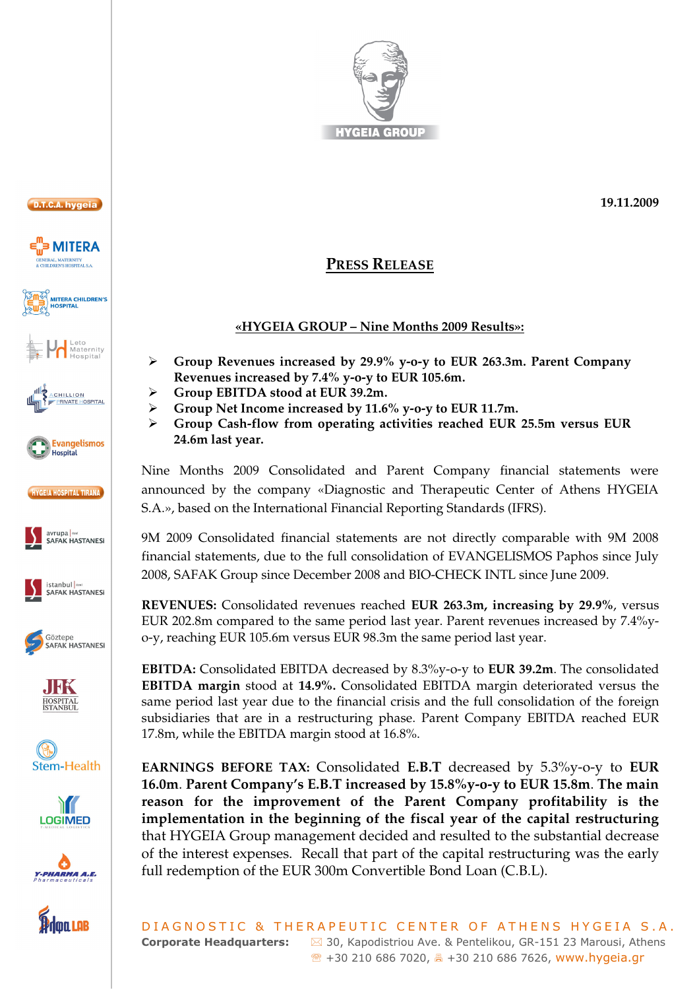

























## **PRESS RELEASE**

## **«HYGEIA GROUP – Nine Months 2009 Results»:**

- $\blacktriangleright$  **Group Revenues increased by 29.9% y-o-y to EUR 263.3m. Parent Company Revenues increased by 7.4% y-o-y to EUR 105.6m.**
- $\blacktriangleright$ **Group EBITDA stood at EUR 39.2m.**
- $\blacktriangleright$ **Group Net Income increased by 11.6% y-o-y to EUR 11.7m.**
- $\triangleright$  **Group Cash-flow from operating activities reached EUR 25.5m versus EUR 24.6m last year.**

Nine Months 2009 Consolidated and Parent Company financial statements were announced by the company «Diagnostic and Therapeutic Center of Athens HYGEIA S.A.», based on the International Financial Reporting Standards (IFRS).

9M 2009 Consolidated financial statements are not directly comparable with 9M 2008 financial statements, due to the full consolidation of EVANGELISMOS Paphos since July 2008, SAFAK Group since December 2008 and BIO-CHECK INTL since June 2009.

**REVENUES:** Consolidated revenues reached **EUR 263.3m, increasing by 29.9%**, versus EUR 202.8m compared to the same period last year. Parent revenues increased by 7.4%yo-y, reaching EUR 105.6m versus EUR 98.3m the same period last year.

**EBITDA:** Consolidated EBITDA decreased by 8.3%y-o-y to **EUR 39.2m**. The consolidated **EBITDA margin** stood at **14.9%.** Consolidated EBITDA margin deteriorated versus the same period last year due to the financial crisis and the full consolidation of the foreign subsidiaries that are in a restructuring phase. Parent Company EBITDA reached EUR 17.8m, while the EBITDA margin stood at 16.8%.

**EARNINGS BEFORE TAX:** Consolidated **E.B.T** decreased by 5.3%y-o-y to **EUR 16.0m**. **Parent Company's E.B.T increased by 15.8%y-o-y to EUR 15.8m**. **The main reason for the improvement of the Parent Company profitability is the implementation in the beginning of the fiscal year of the capital restructuring** that HYGEIA Group management decided and resulted to the substantial decrease of the interest expenses. Recall that part of the capital restructuring was the early full redemption of the EUR 300m Convertible Bond Loan (C.B.L).

DIAGNOSTIC & THERAPEUTIC CENTER OF ATHENS HYGEIA S.A. **Corporate Headquarters:**  $\boxtimes$  30, Kapodistriou Ave. & Pentelikou, GR-151 23 Marousi, Athens ℡ +30 210 686 7020, - +30 210 686 7626, www.hygeia.gr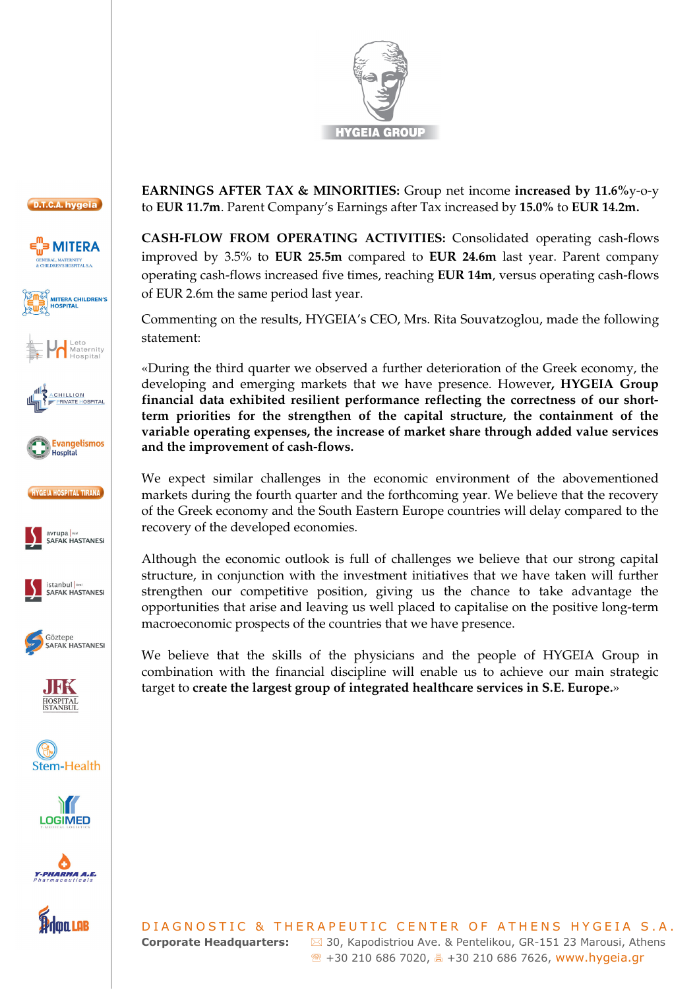































**EARNINGS AFTER TAX & MINORITIES:** Group net income **increased by 11.6%**y-o-y to **EUR 11.7m**. Parent Company's Earnings after Tax increased by **15.0%** to **EUR 14.2m.** 

**CASH-FLOW FROM OPERATING ACTIVITIES:** Consolidated operating cash-flows improved by 3.5% to **EUR 25.5m** compared to **EUR 24.6m** last year. Parent company operating cash-flows increased five times, reaching **EUR 14m**, versus operating cash-flows of EUR 2.6m the same period last year.

Commenting on the results, HYGEIA's CEO, Mrs. Rita Souvatzoglou, made the following statement:

«During the third quarter we observed a further deterioration of the Greek economy, the developing and emerging markets that we have presence. However**, HYGEIA Group financial data exhibited resilient performance reflecting the correctness of our shortterm priorities for the strengthen of the capital structure, the containment of the variable operating expenses, the increase of market share through added value services and the improvement of cash-flows.** 

We expect similar challenges in the economic environment of the abovementioned markets during the fourth quarter and the forthcoming year. We believe that the recovery of the Greek economy and the South Eastern Europe countries will delay compared to the recovery of the developed economies.

Although the economic outlook is full of challenges we believe that our strong capital structure, in conjunction with the investment initiatives that we have taken will further strengthen our competitive position, giving us the chance to take advantage the opportunities that arise and leaving us well placed to capitalise on the positive long-term macroeconomic prospects of the countries that we have presence.

We believe that the skills of the physicians and the people of HYGEIA Group in combination with the financial discipline will enable us to achieve our main strategic target to **create the largest group of integrated healthcare services in S.E. Europe.**»